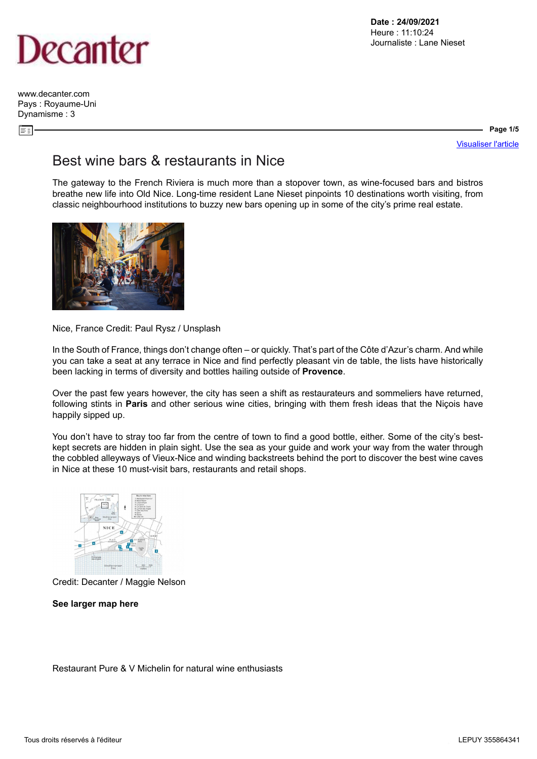

[www.decanter.com](http://www.decanter.com) Pays : Royaume-Uni Dynamisme : 3

 $\equiv \frac{1}{2}$ 

### **Page 1/5**

[Visualiser l'article](https://www.decanter.com/wine-travel/best-wine-bars-restaurants-in-nice-462486/)

## Best wine bars & restaurants in Nice

The gateway to the French Riviera is much more than a stopover town, as wine-focused bars and bistros breathe new life into Old Nice. Long-time resident Lane Nieset pinpoints 10 destinations worth visiting, from classic neighbourhood institutions to buzzy new bars opening up in some of the city's prime real estate.



Nice, France Credit: Paul Rysz / Unsplash

In the South of France, things don't change often – or quickly. That's part of the Côte d'Azur's charm. And while you can take a seat at any terrace in Nice and find perfectly pleasant vin de table, the lists have historically been lacking in terms of diversity and bottles hailing outside of **[Provence](https://www.decanter.com/wine/wine-regions/provence/)**.

Over the past few years however, the city has seen a shift as restaurateurs and sommeliers have returned, following stints in **[Paris](https://www.decanter.com/wine-travel/paris-wine-bars-restaurants-367460/)** and other serious wine cities, bringing with them fresh ideas that the Niçois have happily sipped up.

You don't have to stray too far from the centre of town to find a good bottle, either. Some of the city's bestkept secrets are hidden in plain sight. Use the sea as your guide and work your way from the water through the cobbled alleyways of Vieux-Nice and winding backstreets behind the port to discover the best wine caves in Nice at these 10 must-visit bars, restaurants and retail shops.



Credit: Decanter / Maggie Nelson

**[See larger map here](https://keyassets.timeincuk.net/inspirewp/live/wp-content/uploads/sites/34/2021/08/Nice-map.jpg)**

Restaurant Pure & V Michelin for natural wine enthusiasts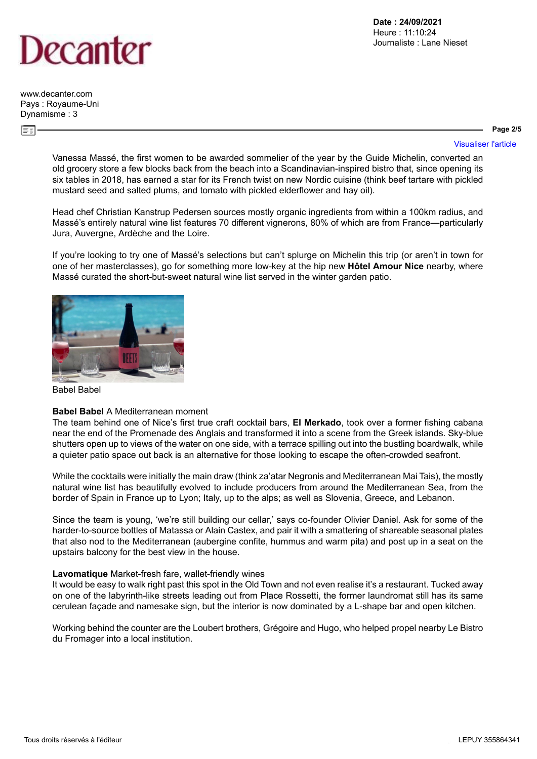# )ecanter

[www.decanter.com](http://www.decanter.com) Pays : Royaume-Uni Dynamisme : 3

**Page 2/5**

[Visualiser l'article](https://www.decanter.com/wine-travel/best-wine-bars-restaurants-in-nice-462486/)

Vanessa Massé, the first women to be awarded sommelier of the year by the Guide Michelin, converted an old grocery store a few blocks back from the beach into a Scandinavian-inspired bistro that, since opening its six tables in 2018, has earned a star for its French twist on new Nordic cuisine (think beef tartare with pickled mustard seed and salted plums, and tomato with pickled elderflower and hay oil).

Head chef Christian Kanstrup Pedersen sources mostly organic ingredients from within a 100km radius, and Massé's entirely natural wine list features 70 different vignerons, 80% of which are from France—particularly Jura, Auvergne, Ardèche and the Loire.

If you're looking to try one of Massé's selections but can't splurge on Michelin this trip (or aren't in town for one of her masterclasses), go for something more low-key at the hip new **[Hôtel Amour Nice](https://www.hotelamournice.fr/en/)** nearby, where Massé curated the short-but-sweet natural wine list served in the winter garden patio.



Babel Babel

### **[Babel Babel](https://www.babelbabel.fr/)** A Mediterranean moment

The team behind one of Nice's first true craft cocktail bars, **[El Merkado](http://el-merkado.com/en)**, took over a former fishing cabana near the end of the Promenade des Anglais and transformed it into a scene from the Greek islands. Sky-blue shutters open up to views of the water on one side, with a terrace spilling out into the bustling boardwalk, while a quieter patio space out back is an alternative for those looking to escape the often-crowded seafront.

While the cocktails were initially the main draw (think za'atar Negronis and Mediterranean Mai Tais), the mostly natural wine list has beautifully evolved to include producers from around the Mediterranean Sea, from the border of Spain in France up to Lyon; Italy, up to the alps; as well as Slovenia, Greece, and Lebanon.

Since the team is young, 'we're still building our cellar,' says co-founder Olivier Daniel. Ask for some of the harder-to-source bottles of Matassa or Alain Castex, and pair it with a smattering of shareable seasonal plates that also nod to the Mediterranean (aubergine confite, hummus and warm pita) and post up in a seat on the upstairs balcony for the best view in the house.

### **[Lavomatique](https://lavomatique-restaurant.business.site/)** Market-fresh fare, wallet-friendly wines

It would be easy to walk right past this spot in the Old Town and not even realise it's a restaurant. Tucked away on one of the labyrinth-like streets leading out from Place Rossetti, the former laundromat still has its same cerulean façade and namesake sign, but the interior is now dominated by a L-shape bar and open kitchen.

Working behind the counter are the Loubert brothers, Grégoire and Hugo, who helped propel nearby Le Bistro du Fromager into a local institution.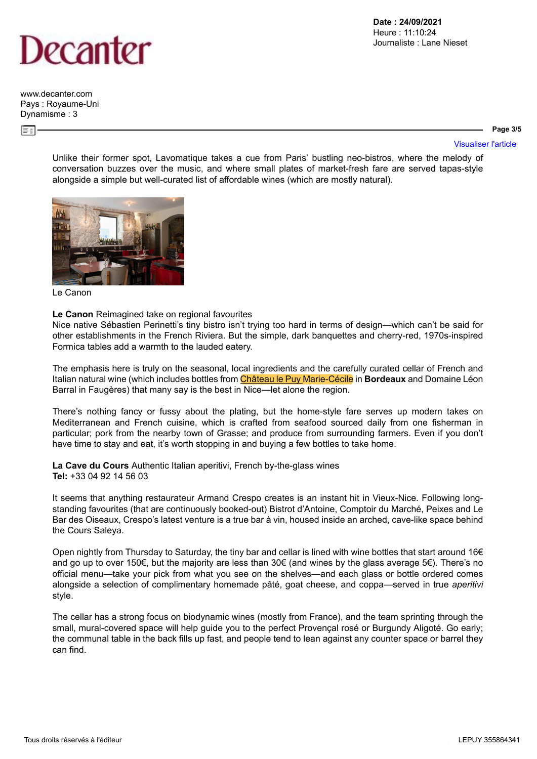

[www.decanter.com](http://www.decanter.com) Pays : Royaume-Uni Dynamisme : 3

**Date : 24/09/2021** Heure : 11:10:24 Journaliste : Lane Nieset

#### **Page 3/5**

Unlike their former spot, Lavomatique takes a cue from Paris' bustling neo-bistros, where the melody of conversation buzzes over the music, and where small plates of market-fresh fare are served tapas-style alongside a simple but well-curated list of affordable wines (which are mostly natural).



Le Canon

#### **[Le Canon](http://www.lecanon.fr/)** Reimagined take on regional favourites

Nice native Sébastien Perinetti's tiny bistro isn't trying too hard in terms of design—which can't be said for other establishments in the French Riviera. But the simple, dark banquettes and cherry-red, 1970s-inspired Formica tables add a warmth to the lauded eatery.

The emphasis here is truly on the seasonal, local ingredients and the carefully curated cellar of French and Italian natural wine (which includes bottles from Château le Puy Marie-Cécile in **[Bordeaux](https://www.decanter.com/wine/wine-regions/bordeaux-wines/)** and Domaine Léon Barral in Faugères) that many say is the best in Nice—let alone the region.

There's nothing fancy or fussy about the plating, but the home-style fare serves up modern takes on Mediterranean and French cuisine, which is crafted from seafood sourced daily from one fisherman in particular; pork from the nearby town of Grasse; and produce from surrounding farmers. Even if you don't have time to stay and eat, it's worth stopping in and buying a few bottles to take home.

**La Cave du Cours** Authentic Italian aperitivi, French by-the-glass wines **Tel:** +33 04 92 14 56 03

It seems that anything restaurateur Armand Crespo creates is an instant hit in Vieux-Nice. Following longstanding favourites (that are continuously booked-out) Bistrot d'Antoine, Comptoir du Marché, Peixes and Le Bar des Oiseaux, Crespo's latest venture is a true bar à vin, housed inside an arched, cave-like space behind the Cours Saleya.

Open nightly from Thursday to Saturday, the tiny bar and cellar is lined with wine bottles that start around 16€ and go up to over 150€, but the majority are less than 30€ (and wines by the glass average 5€). There's no official menu—take your pick from what you see on the shelves—and each glass or bottle ordered comes alongside a selection of complimentary homemade pâté, goat cheese, and coppa—served in true *aperitivi* style.

The cellar has a strong focus on biodynamic wines (mostly from France), and the team sprinting through the small, mural-covered space will help guide you to the perfect Provençal rosé or Burgundy Aligoté. Go early; the communal table in the back fills up fast, and people tend to lean against any counter space or barrel they can find.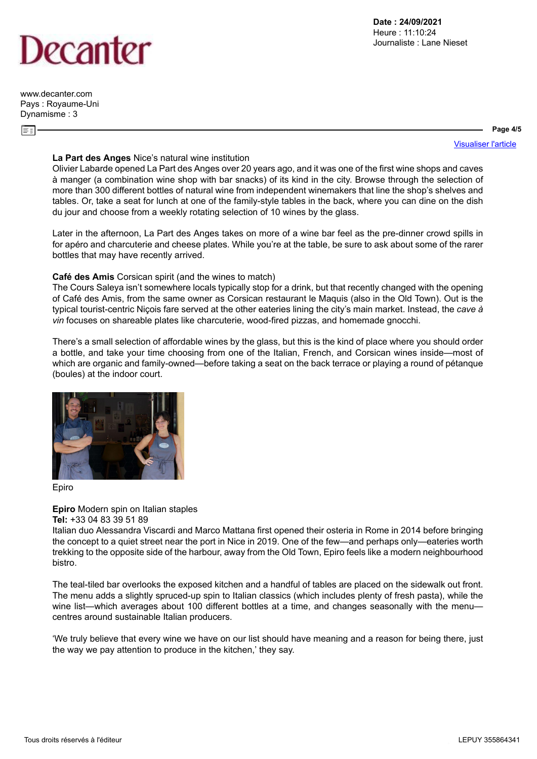# )ecanter

[www.decanter.com](http://www.decanter.com) Pays : Royaume-Uni Dynamisme : 3

**Page 4/5**

[Visualiser l'article](https://www.decanter.com/wine-travel/best-wine-bars-restaurants-in-nice-462486/)

### **[La Part des Anges](https://lapartdesanges-nice.com/)** Nice's natural wine institution

Olivier Labarde opened La Part des Anges over 20 years ago, and it was one of the first wine shops and caves à manger (a combination wine shop with bar snacks) of its kind in the city. Browse through the selection of more than 300 different bottles of natural wine from independent winemakers that line the shop's shelves and tables. Or, take a seat for lunch at one of the family-style tables in the back, where you can dine on the dish du jour and choose from a weekly rotating selection of 10 wines by the glass.

Later in the afternoon, La Part des Anges takes on more of a wine bar feel as the pre-dinner crowd spills in for apéro and charcuterie and cheese plates. While you're at the table, be sure to ask about some of the rarer bottles that may have recently arrived.

### **[Café des Amis](https://cafedesamisnice.com/)** Corsican spirit (and the wines to match)

The Cours Saleya isn't somewhere locals typically stop for a drink, but that recently changed with the opening of Café des Amis, from the same owner as Corsican restaurant le Maquis (also in the Old Town). Out is the typical tourist-centric Niçois fare served at the other eateries lining the city's main market. Instead, the *cave à vin* focuses on shareable plates like charcuterie, wood-fired pizzas, and homemade gnocchi.

There's a small selection of affordable wines by the glass, but this is the kind of place where you should order a bottle, and take your time choosing from one of the Italian, French, and Corsican wines inside—most of which are organic and family-owned—before taking a seat on the back terrace or playing a round of pétanque (boules) at the indoor court.



Epiro

### **Epiro** Modern spin on Italian staples

### **Tel:** +33 04 83 39 51 89

Italian duo Alessandra Viscardi and Marco Mattana first opened their osteria in Rome in 2014 before bringing the concept to a quiet street near the port in Nice in 2019. One of the few—and perhaps only—eateries worth trekking to the opposite side of the harbour, away from the Old Town, Epiro feels like a modern neighbourhood bistro.

The teal-tiled bar overlooks the exposed kitchen and a handful of tables are placed on the sidewalk out front. The menu adds a slightly spruced-up spin to Italian classics (which includes plenty of fresh pasta), while the wine list—which averages about 100 different bottles at a time, and changes seasonally with the menu centres around sustainable Italian producers.

'We truly believe that every wine we have on our list should have meaning and a reason for being there, just the way we pay attention to produce in the kitchen,' they say.